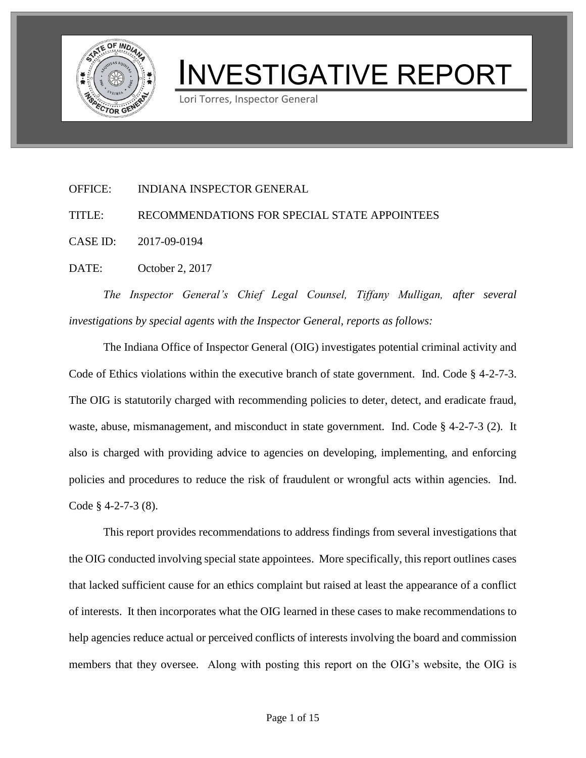

# **'ESTIGATIVE REPORT**

Lori Torres, Inspector General

OFFICE: INDIANA INSPECTOR GENERAL

TITLE: RECOMMENDATIONS FOR SPECIAL STATE APPOINTEES

CASE ID: 2017-09-0194

DATE: October 2, 2017

*The Inspector General's Chief Legal Counsel, Tiffany Mulligan, after several investigations by special agents with the Inspector General, reports as follows:*

The Indiana Office of Inspector General (OIG) investigates potential criminal activity and Code of Ethics violations within the executive branch of state government. Ind. Code § 4-2-7-3. The OIG is statutorily charged with recommending policies to deter, detect, and eradicate fraud, waste, abuse, mismanagement, and misconduct in state government. Ind. Code § 4-2-7-3 (2). It also is charged with providing advice to agencies on developing, implementing, and enforcing policies and procedures to reduce the risk of fraudulent or wrongful acts within agencies. Ind. Code § 4-2-7-3 (8).

This report provides recommendations to address findings from several investigations that the OIG conducted involving special state appointees. More specifically, this report outlines cases that lacked sufficient cause for an ethics complaint but raised at least the appearance of a conflict of interests. It then incorporates what the OIG learned in these cases to make recommendations to help agencies reduce actual or perceived conflicts of interests involving the board and commission members that they oversee. Along with posting this report on the OIG's website, the OIG is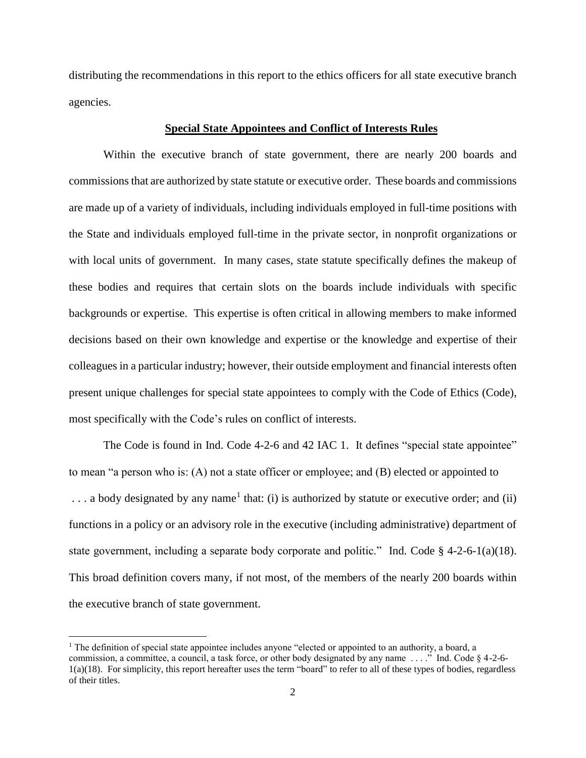distributing the recommendations in this report to the ethics officers for all state executive branch agencies.

## **Special State Appointees and Conflict of Interests Rules**

Within the executive branch of state government, there are nearly 200 boards and commissions that are authorized by state statute or executive order. These boards and commissions are made up of a variety of individuals, including individuals employed in full-time positions with the State and individuals employed full-time in the private sector, in nonprofit organizations or with local units of government. In many cases, state statute specifically defines the makeup of these bodies and requires that certain slots on the boards include individuals with specific backgrounds or expertise. This expertise is often critical in allowing members to make informed decisions based on their own knowledge and expertise or the knowledge and expertise of their colleagues in a particular industry; however, their outside employment and financial interests often present unique challenges for special state appointees to comply with the Code of Ethics (Code), most specifically with the Code's rules on conflict of interests.

The Code is found in Ind. Code 4-2-6 and 42 IAC 1. It defines "special state appointee" to mean "a person who is: (A) not a state officer or employee; and (B) elected or appointed to  $\ldots$  a body designated by any name<sup>1</sup> that: (i) is authorized by statute or executive order; and (ii) functions in a policy or an advisory role in the executive (including administrative) department of state government, including a separate body corporate and politic." Ind. Code § 4-2-6-1(a)(18). This broad definition covers many, if not most, of the members of the nearly 200 boards within the executive branch of state government.

<sup>&</sup>lt;sup>1</sup> The definition of special state appointee includes anyone "elected or appointed to an authority, a board, a commission, a committee, a council, a task force, or other body designated by any name . . . ." Ind. Code § 4-2-6- 1(a)(18). For simplicity, this report hereafter uses the term "board" to refer to all of these types of bodies, regardless of their titles.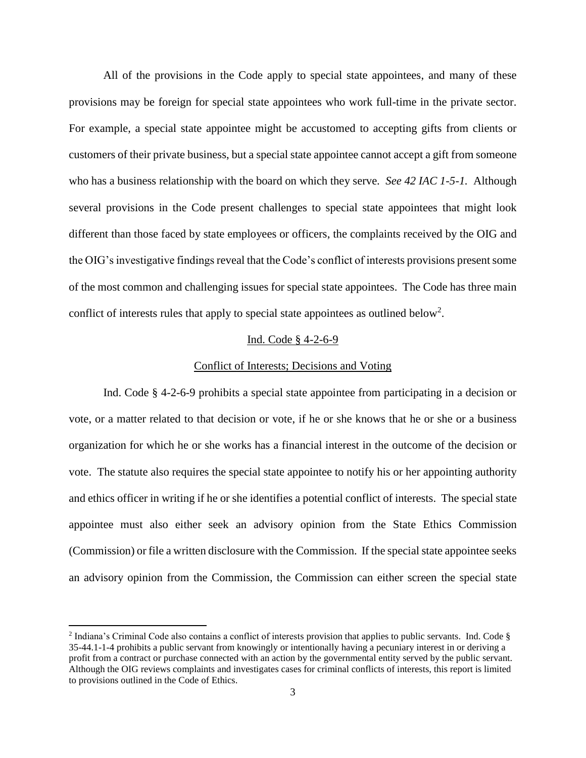All of the provisions in the Code apply to special state appointees, and many of these provisions may be foreign for special state appointees who work full-time in the private sector. For example, a special state appointee might be accustomed to accepting gifts from clients or customers of their private business, but a special state appointee cannot accept a gift from someone who has a business relationship with the board on which they serve. *See 42 IAC 1-5-1.* Although several provisions in the Code present challenges to special state appointees that might look different than those faced by state employees or officers, the complaints received by the OIG and the OIG's investigative findings reveal that the Code's conflict of interests provisions present some of the most common and challenging issues for special state appointees. The Code has three main conflict of interests rules that apply to special state appointees as outlined below<sup>2</sup>.

## Ind. Code § 4-2-6-9

# Conflict of Interests; Decisions and Voting

Ind. Code § 4-2-6-9 prohibits a special state appointee from participating in a decision or vote, or a matter related to that decision or vote, if he or she knows that he or she or a business organization for which he or she works has a financial interest in the outcome of the decision or vote. The statute also requires the special state appointee to notify his or her appointing authority and ethics officer in writing if he or she identifies a potential conflict of interests. The special state appointee must also either seek an advisory opinion from the State Ethics Commission (Commission) or file a written disclosure with the Commission. If the special state appointee seeks an advisory opinion from the Commission, the Commission can either screen the special state

<sup>&</sup>lt;sup>2</sup> Indiana's Criminal Code also contains a conflict of interests provision that applies to public servants. Ind. Code § 35-44.1-1-4 prohibits a public servant from knowingly or intentionally having a pecuniary interest in or deriving a profit from a contract or purchase connected with an action by the governmental entity served by the public servant. Although the OIG reviews complaints and investigates cases for criminal conflicts of interests, this report is limited to provisions outlined in the Code of Ethics.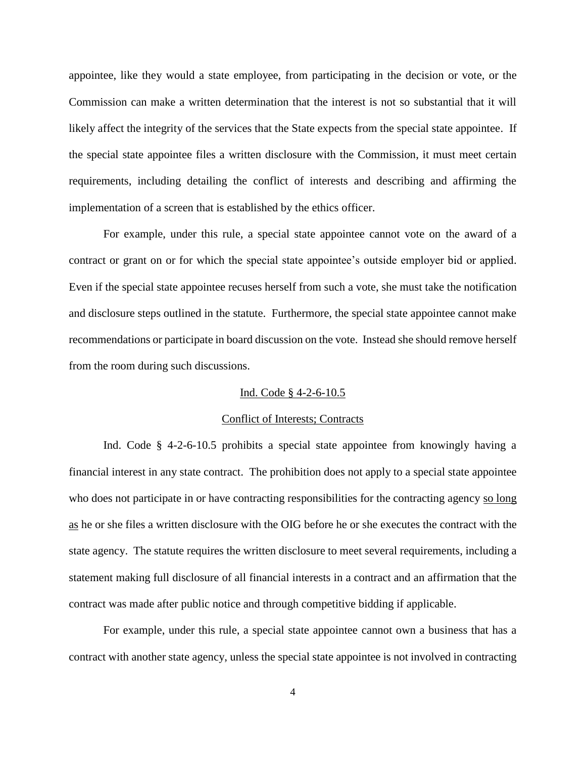appointee, like they would a state employee, from participating in the decision or vote, or the Commission can make a written determination that the interest is not so substantial that it will likely affect the integrity of the services that the State expects from the special state appointee. If the special state appointee files a written disclosure with the Commission, it must meet certain requirements, including detailing the conflict of interests and describing and affirming the implementation of a screen that is established by the ethics officer.

For example, under this rule, a special state appointee cannot vote on the award of a contract or grant on or for which the special state appointee's outside employer bid or applied. Even if the special state appointee recuses herself from such a vote, she must take the notification and disclosure steps outlined in the statute. Furthermore, the special state appointee cannot make recommendations or participate in board discussion on the vote. Instead she should remove herself from the room during such discussions.

## Ind. Code § 4-2-6-10.5

## Conflict of Interests; Contracts

Ind. Code § 4-2-6-10.5 prohibits a special state appointee from knowingly having a financial interest in any state contract. The prohibition does not apply to a special state appointee who does not participate in or have contracting responsibilities for the contracting agency so long as he or she files a written disclosure with the OIG before he or she executes the contract with the state agency. The statute requires the written disclosure to meet several requirements, including a statement making full disclosure of all financial interests in a contract and an affirmation that the contract was made after public notice and through competitive bidding if applicable.

For example, under this rule, a special state appointee cannot own a business that has a contract with another state agency, unless the special state appointee is not involved in contracting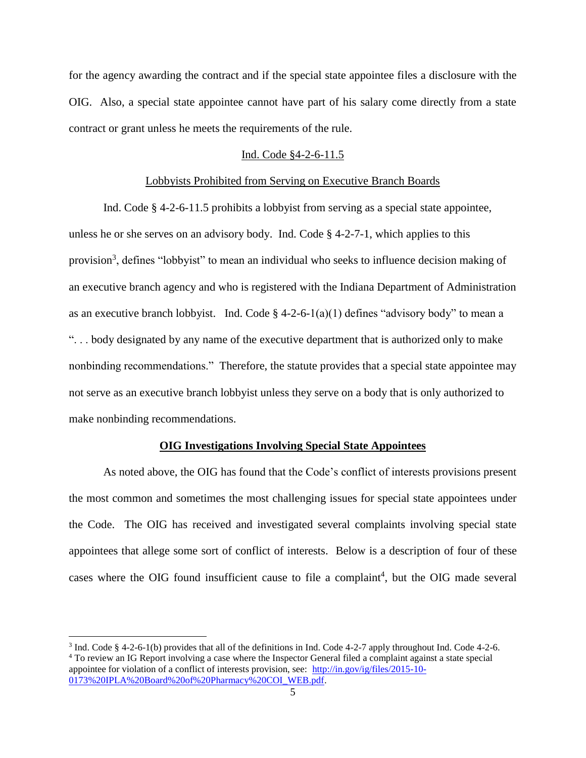for the agency awarding the contract and if the special state appointee files a disclosure with the OIG. Also, a special state appointee cannot have part of his salary come directly from a state contract or grant unless he meets the requirements of the rule.

## Ind. Code §4-2-6-11.5

## Lobbyists Prohibited from Serving on Executive Branch Boards

Ind. Code § 4-2-6-11.5 prohibits a lobbyist from serving as a special state appointee, unless he or she serves on an advisory body. Ind. Code  $\S$  4-2-7-1, which applies to this provision<sup>3</sup>, defines "lobbyist" to mean an individual who seeks to influence decision making of an executive branch agency and who is registered with the Indiana Department of Administration as an executive branch lobbyist. Ind. Code  $\S$  4-2-6-1(a)(1) defines "advisory body" to mean a ". . . body designated by any name of the executive department that is authorized only to make nonbinding recommendations." Therefore, the statute provides that a special state appointee may not serve as an executive branch lobbyist unless they serve on a body that is only authorized to make nonbinding recommendations.

## **OIG Investigations Involving Special State Appointees**

As noted above, the OIG has found that the Code's conflict of interests provisions present the most common and sometimes the most challenging issues for special state appointees under the Code. The OIG has received and investigated several complaints involving special state appointees that allege some sort of conflict of interests. Below is a description of four of these cases where the OIG found insufficient cause to file a complaint<sup>4</sup>, but the OIG made several

<sup>&</sup>lt;sup>3</sup> Ind. Code § 4-2-6-1(b) provides that all of the definitions in Ind. Code 4-2-7 apply throughout Ind. Code 4-2-6. <sup>4</sup> To review an IG Report involving a case where the Inspector General filed a complaint against a state special

appointee for violation of a conflict of interests provision, see: [http://in.gov/ig/files/2015-10-](http://in.gov/ig/files/2015-10-0173%20IPLA%20Board%20of%20Pharmacy%20COI_WEB.pdf) [0173%20IPLA%20Board%20of%20Pharmacy%20COI\\_WEB.pdf.](http://in.gov/ig/files/2015-10-0173%20IPLA%20Board%20of%20Pharmacy%20COI_WEB.pdf)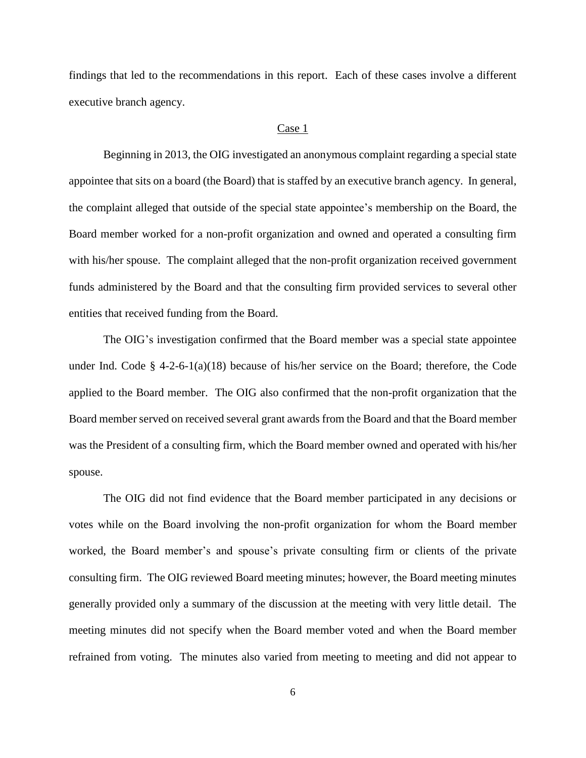findings that led to the recommendations in this report. Each of these cases involve a different executive branch agency.

#### Case 1

Beginning in 2013, the OIG investigated an anonymous complaint regarding a special state appointee that sits on a board (the Board) that is staffed by an executive branch agency. In general, the complaint alleged that outside of the special state appointee's membership on the Board, the Board member worked for a non-profit organization and owned and operated a consulting firm with his/her spouse. The complaint alleged that the non-profit organization received government funds administered by the Board and that the consulting firm provided services to several other entities that received funding from the Board.

The OIG's investigation confirmed that the Board member was a special state appointee under Ind. Code § 4-2-6-1(a)(18) because of his/her service on the Board; therefore, the Code applied to the Board member. The OIG also confirmed that the non-profit organization that the Board member served on received several grant awards from the Board and that the Board member was the President of a consulting firm, which the Board member owned and operated with his/her spouse.

The OIG did not find evidence that the Board member participated in any decisions or votes while on the Board involving the non-profit organization for whom the Board member worked, the Board member's and spouse's private consulting firm or clients of the private consulting firm. The OIG reviewed Board meeting minutes; however, the Board meeting minutes generally provided only a summary of the discussion at the meeting with very little detail. The meeting minutes did not specify when the Board member voted and when the Board member refrained from voting. The minutes also varied from meeting to meeting and did not appear to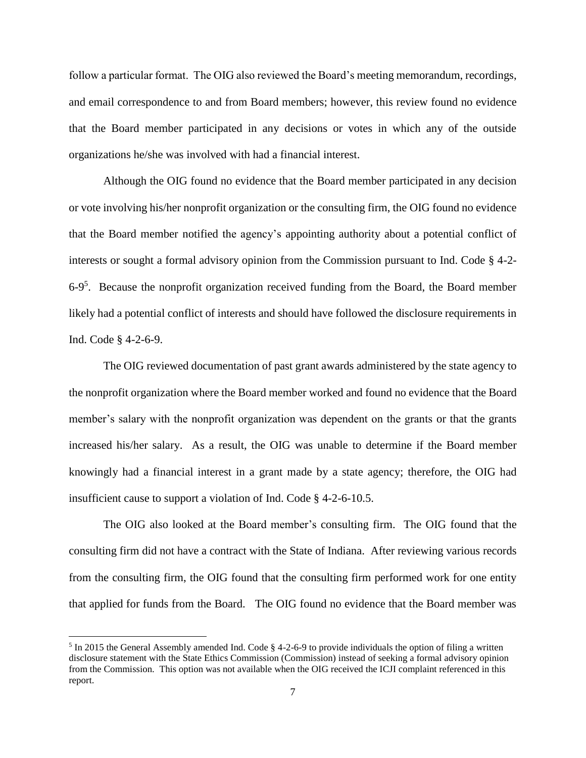follow a particular format. The OIG also reviewed the Board's meeting memorandum, recordings, and email correspondence to and from Board members; however, this review found no evidence that the Board member participated in any decisions or votes in which any of the outside organizations he/she was involved with had a financial interest.

Although the OIG found no evidence that the Board member participated in any decision or vote involving his/her nonprofit organization or the consulting firm, the OIG found no evidence that the Board member notified the agency's appointing authority about a potential conflict of interests or sought a formal advisory opinion from the Commission pursuant to Ind. Code § 4-2-  $6-9<sup>5</sup>$ . Because the nonprofit organization received funding from the Board, the Board member likely had a potential conflict of interests and should have followed the disclosure requirements in Ind. Code § 4-2-6-9.

The OIG reviewed documentation of past grant awards administered by the state agency to the nonprofit organization where the Board member worked and found no evidence that the Board member's salary with the nonprofit organization was dependent on the grants or that the grants increased his/her salary. As a result, the OIG was unable to determine if the Board member knowingly had a financial interest in a grant made by a state agency; therefore, the OIG had insufficient cause to support a violation of Ind. Code § 4-2-6-10.5.

The OIG also looked at the Board member's consulting firm. The OIG found that the consulting firm did not have a contract with the State of Indiana. After reviewing various records from the consulting firm, the OIG found that the consulting firm performed work for one entity that applied for funds from the Board. The OIG found no evidence that the Board member was

 $5$  In 2015 the General Assembly amended Ind. Code  $\S$  4-2-6-9 to provide individuals the option of filing a written disclosure statement with the State Ethics Commission (Commission) instead of seeking a formal advisory opinion from the Commission. This option was not available when the OIG received the ICJI complaint referenced in this report.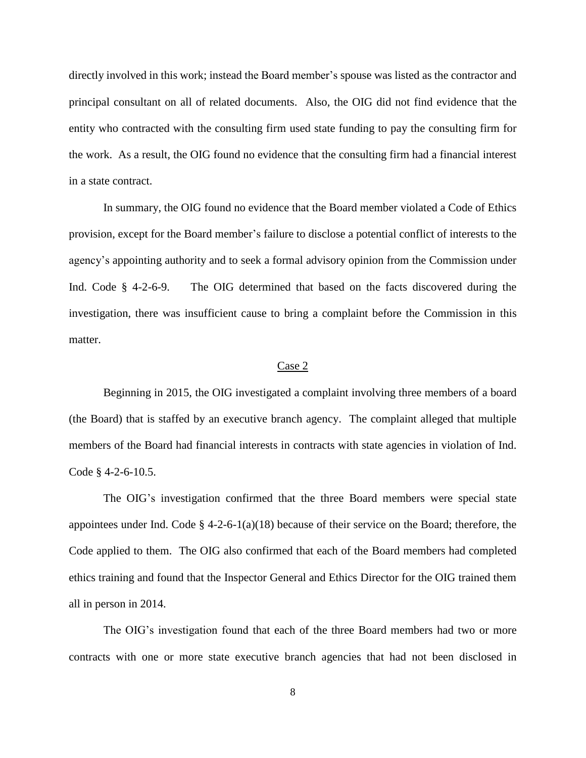directly involved in this work; instead the Board member's spouse was listed as the contractor and principal consultant on all of related documents. Also, the OIG did not find evidence that the entity who contracted with the consulting firm used state funding to pay the consulting firm for the work. As a result, the OIG found no evidence that the consulting firm had a financial interest in a state contract.

In summary, the OIG found no evidence that the Board member violated a Code of Ethics provision, except for the Board member's failure to disclose a potential conflict of interests to the agency's appointing authority and to seek a formal advisory opinion from the Commission under Ind. Code § 4-2-6-9. The OIG determined that based on the facts discovered during the investigation, there was insufficient cause to bring a complaint before the Commission in this matter.

#### Case 2

Beginning in 2015, the OIG investigated a complaint involving three members of a board (the Board) that is staffed by an executive branch agency. The complaint alleged that multiple members of the Board had financial interests in contracts with state agencies in violation of Ind. Code § 4-2-6-10.5.

The OIG's investigation confirmed that the three Board members were special state appointees under Ind. Code  $\S$  4-2-6-1(a)(18) because of their service on the Board; therefore, the Code applied to them. The OIG also confirmed that each of the Board members had completed ethics training and found that the Inspector General and Ethics Director for the OIG trained them all in person in 2014.

The OIG's investigation found that each of the three Board members had two or more contracts with one or more state executive branch agencies that had not been disclosed in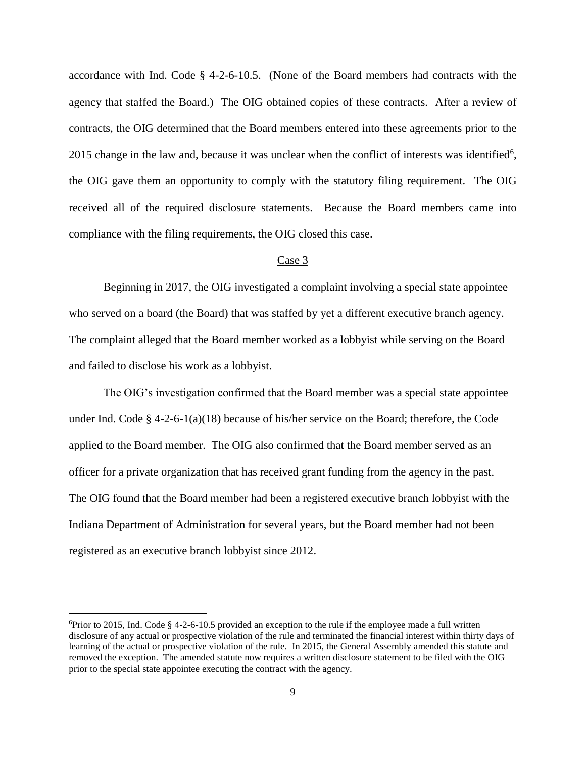accordance with Ind. Code § 4-2-6-10.5. (None of the Board members had contracts with the agency that staffed the Board.) The OIG obtained copies of these contracts. After a review of contracts, the OIG determined that the Board members entered into these agreements prior to the 2015 change in the law and, because it was unclear when the conflict of interests was identified<sup>6</sup>, the OIG gave them an opportunity to comply with the statutory filing requirement. The OIG received all of the required disclosure statements. Because the Board members came into compliance with the filing requirements, the OIG closed this case.

### Case 3

Beginning in 2017, the OIG investigated a complaint involving a special state appointee who served on a board (the Board) that was staffed by yet a different executive branch agency. The complaint alleged that the Board member worked as a lobbyist while serving on the Board and failed to disclose his work as a lobbyist.

The OIG's investigation confirmed that the Board member was a special state appointee under Ind. Code  $\S$  4-2-6-1(a)(18) because of his/her service on the Board; therefore, the Code applied to the Board member. The OIG also confirmed that the Board member served as an officer for a private organization that has received grant funding from the agency in the past. The OIG found that the Board member had been a registered executive branch lobbyist with the Indiana Department of Administration for several years, but the Board member had not been registered as an executive branch lobbyist since 2012.

 $\overline{a}$ 

<sup>6</sup>Prior to 2015, Ind. Code § 4-2-6-10.5 provided an exception to the rule if the employee made a full written disclosure of any actual or prospective violation of the rule and terminated the financial interest within thirty days of learning of the actual or prospective violation of the rule. In 2015, the General Assembly amended this statute and removed the exception. The amended statute now requires a written disclosure statement to be filed with the OIG prior to the special state appointee executing the contract with the agency.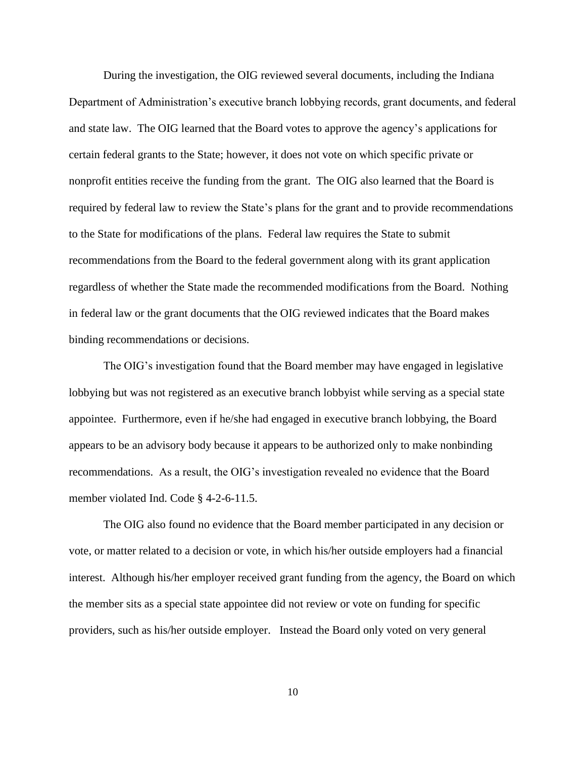During the investigation, the OIG reviewed several documents, including the Indiana Department of Administration's executive branch lobbying records, grant documents, and federal and state law. The OIG learned that the Board votes to approve the agency's applications for certain federal grants to the State; however, it does not vote on which specific private or nonprofit entities receive the funding from the grant. The OIG also learned that the Board is required by federal law to review the State's plans for the grant and to provide recommendations to the State for modifications of the plans. Federal law requires the State to submit recommendations from the Board to the federal government along with its grant application regardless of whether the State made the recommended modifications from the Board. Nothing in federal law or the grant documents that the OIG reviewed indicates that the Board makes binding recommendations or decisions.

The OIG's investigation found that the Board member may have engaged in legislative lobbying but was not registered as an executive branch lobbyist while serving as a special state appointee. Furthermore, even if he/she had engaged in executive branch lobbying, the Board appears to be an advisory body because it appears to be authorized only to make nonbinding recommendations. As a result, the OIG's investigation revealed no evidence that the Board member violated Ind. Code § 4-2-6-11.5.

The OIG also found no evidence that the Board member participated in any decision or vote, or matter related to a decision or vote, in which his/her outside employers had a financial interest. Although his/her employer received grant funding from the agency, the Board on which the member sits as a special state appointee did not review or vote on funding for specific providers, such as his/her outside employer. Instead the Board only voted on very general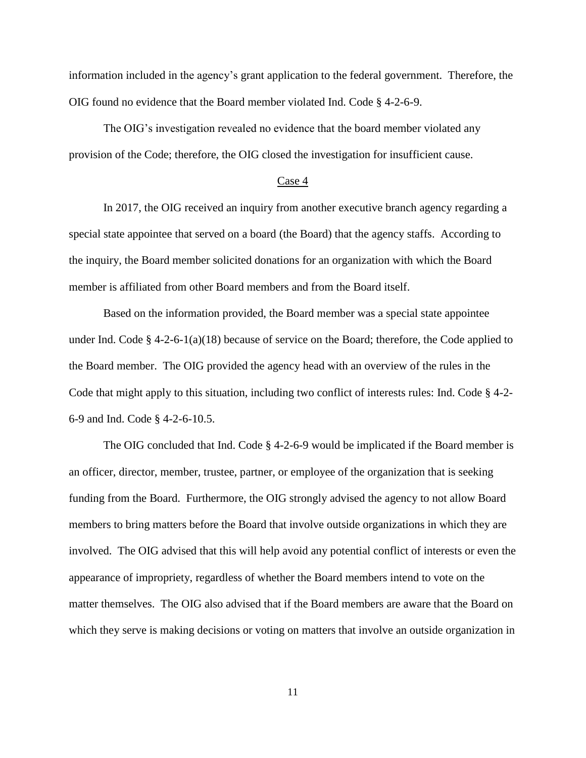information included in the agency's grant application to the federal government. Therefore, the OIG found no evidence that the Board member violated Ind. Code § 4-2-6-9.

The OIG's investigation revealed no evidence that the board member violated any provision of the Code; therefore, the OIG closed the investigation for insufficient cause.

## Case 4

In 2017, the OIG received an inquiry from another executive branch agency regarding a special state appointee that served on a board (the Board) that the agency staffs. According to the inquiry, the Board member solicited donations for an organization with which the Board member is affiliated from other Board members and from the Board itself.

Based on the information provided, the Board member was a special state appointee under Ind. Code § 4-2-6-1(a)(18) because of service on the Board; therefore, the Code applied to the Board member. The OIG provided the agency head with an overview of the rules in the Code that might apply to this situation, including two conflict of interests rules: Ind. Code § 4-2- 6-9 and Ind. Code § 4-2-6-10.5.

The OIG concluded that Ind. Code § 4-2-6-9 would be implicated if the Board member is an officer, director, member, trustee, partner, or employee of the organization that is seeking funding from the Board. Furthermore, the OIG strongly advised the agency to not allow Board members to bring matters before the Board that involve outside organizations in which they are involved. The OIG advised that this will help avoid any potential conflict of interests or even the appearance of impropriety, regardless of whether the Board members intend to vote on the matter themselves. The OIG also advised that if the Board members are aware that the Board on which they serve is making decisions or voting on matters that involve an outside organization in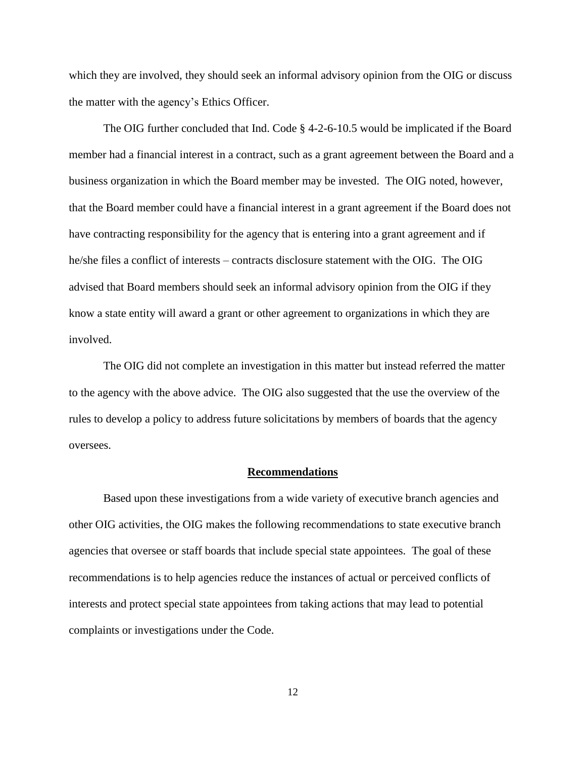which they are involved, they should seek an informal advisory opinion from the OIG or discuss the matter with the agency's Ethics Officer.

The OIG further concluded that Ind. Code § 4-2-6-10.5 would be implicated if the Board member had a financial interest in a contract, such as a grant agreement between the Board and a business organization in which the Board member may be invested. The OIG noted, however, that the Board member could have a financial interest in a grant agreement if the Board does not have contracting responsibility for the agency that is entering into a grant agreement and if he/she files a conflict of interests – contracts disclosure statement with the OIG. The OIG advised that Board members should seek an informal advisory opinion from the OIG if they know a state entity will award a grant or other agreement to organizations in which they are involved.

The OIG did not complete an investigation in this matter but instead referred the matter to the agency with the above advice. The OIG also suggested that the use the overview of the rules to develop a policy to address future solicitations by members of boards that the agency oversees.

## **Recommendations**

Based upon these investigations from a wide variety of executive branch agencies and other OIG activities, the OIG makes the following recommendations to state executive branch agencies that oversee or staff boards that include special state appointees. The goal of these recommendations is to help agencies reduce the instances of actual or perceived conflicts of interests and protect special state appointees from taking actions that may lead to potential complaints or investigations under the Code.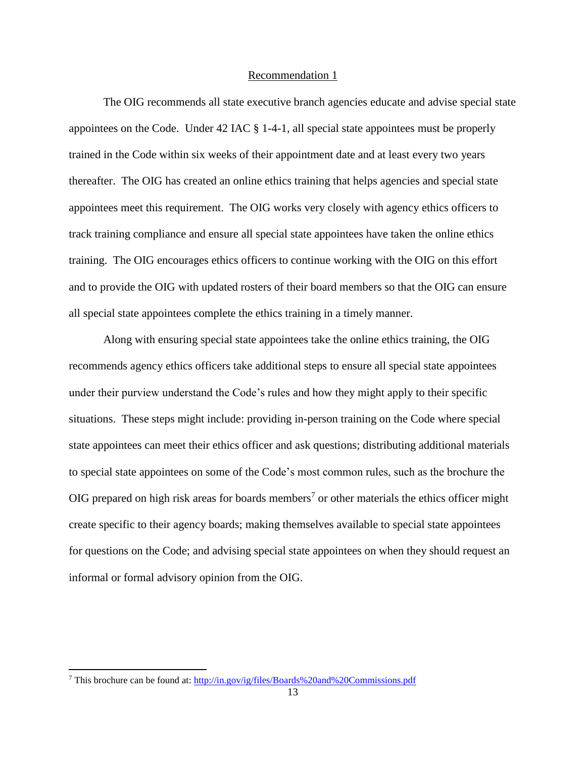#### Recommendation 1

The OIG recommends all state executive branch agencies educate and advise special state appointees on the Code. Under  $42$  IAC  $\S$  1-4-1, all special state appointees must be properly trained in the Code within six weeks of their appointment date and at least every two years thereafter. The OIG has created an online ethics training that helps agencies and special state appointees meet this requirement. The OIG works very closely with agency ethics officers to track training compliance and ensure all special state appointees have taken the online ethics training. The OIG encourages ethics officers to continue working with the OIG on this effort and to provide the OIG with updated rosters of their board members so that the OIG can ensure all special state appointees complete the ethics training in a timely manner.

Along with ensuring special state appointees take the online ethics training, the OIG recommends agency ethics officers take additional steps to ensure all special state appointees under their purview understand the Code's rules and how they might apply to their specific situations. These steps might include: providing in-person training on the Code where special state appointees can meet their ethics officer and ask questions; distributing additional materials to special state appointees on some of the Code's most common rules, such as the brochure the OIG prepared on high risk areas for boards members<sup>7</sup> or other materials the ethics officer might create specific to their agency boards; making themselves available to special state appointees for questions on the Code; and advising special state appointees on when they should request an informal or formal advisory opinion from the OIG.

l

<sup>7</sup> This brochure can be found at[: http://in.gov/ig/files/Boards%20and%20Commissions.pdf](http://in.gov/ig/files/Boards%20and%20Commissions.pdf)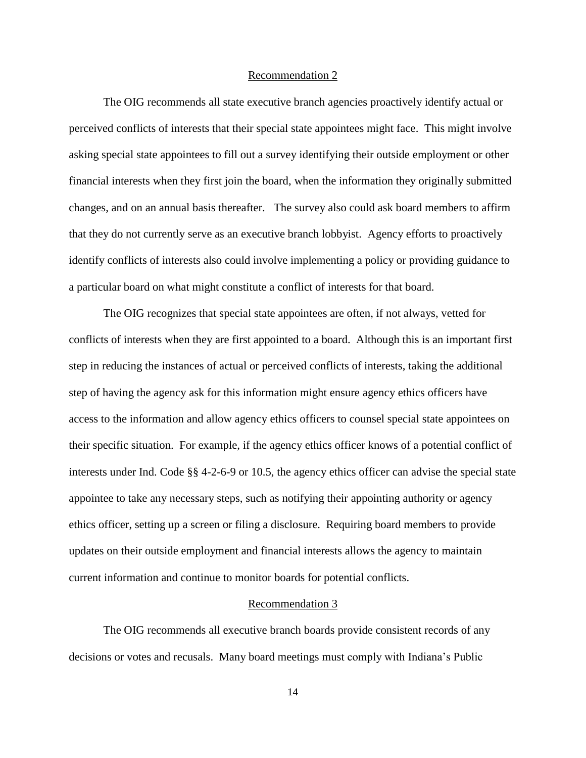#### Recommendation 2

The OIG recommends all state executive branch agencies proactively identify actual or perceived conflicts of interests that their special state appointees might face. This might involve asking special state appointees to fill out a survey identifying their outside employment or other financial interests when they first join the board, when the information they originally submitted changes, and on an annual basis thereafter. The survey also could ask board members to affirm that they do not currently serve as an executive branch lobbyist. Agency efforts to proactively identify conflicts of interests also could involve implementing a policy or providing guidance to a particular board on what might constitute a conflict of interests for that board.

The OIG recognizes that special state appointees are often, if not always, vetted for conflicts of interests when they are first appointed to a board. Although this is an important first step in reducing the instances of actual or perceived conflicts of interests, taking the additional step of having the agency ask for this information might ensure agency ethics officers have access to the information and allow agency ethics officers to counsel special state appointees on their specific situation. For example, if the agency ethics officer knows of a potential conflict of interests under Ind. Code §§ 4-2-6-9 or 10.5, the agency ethics officer can advise the special state appointee to take any necessary steps, such as notifying their appointing authority or agency ethics officer, setting up a screen or filing a disclosure. Requiring board members to provide updates on their outside employment and financial interests allows the agency to maintain current information and continue to monitor boards for potential conflicts.

#### Recommendation 3

The OIG recommends all executive branch boards provide consistent records of any decisions or votes and recusals. Many board meetings must comply with Indiana's Public